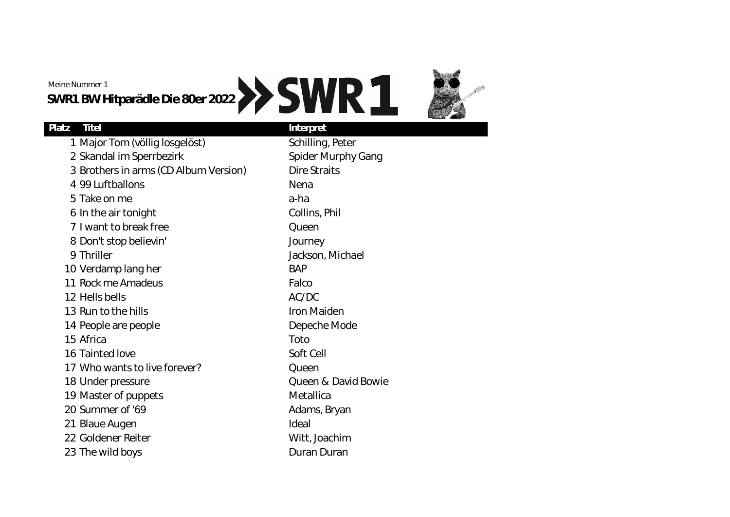Meine Nummer 1

**SWR1 BW Hitparädle Die 80er 2022**

## **Platz Titel Interpret**

1 Major Tom (völlig losgelöst) Schilling, Peter 2 Skandal im Sperrbezirk Spider Murphy Gang 3 Brothers in arms (CD Album Version) Dire Straits 4 99 Luftballons Nena 5 Take on me a-ha 6 In the air tonight Collins, Phil 7 I want to break free Queen 8 Don't stop believin' Journey 9 Thriller **Jackson**, Michael 10 Verdamp lang her BAP 11 Rock me Amadeus Falco 12 Hells bells AC/DC 13 Run to the hills **Iron Maiden** 14 People are people **Depeche Mode** 15 Africa Toto 16 Tainted love Soft Cell 17 Who wants to live forever? Cueen 18 Under pressure **COMPANY CHANGE CONTROLLY A David Bowie** 19 Master of puppets Metallica 20 Summer of '69 Adams, Bryan 21 Blaue Augen Ideal 22 Goldener Reiter National Witt, Joachim 23 The wild boys **Duran Duran** Duran Duran Duran Duran Duran Duran Duran Duran Duran Duran Duran Duran Duran Duran Duran Duran Duran Duran Duran Duran Duran Duran Duran Duran Duran Duran Duran Duran Duran Duran Duran Duran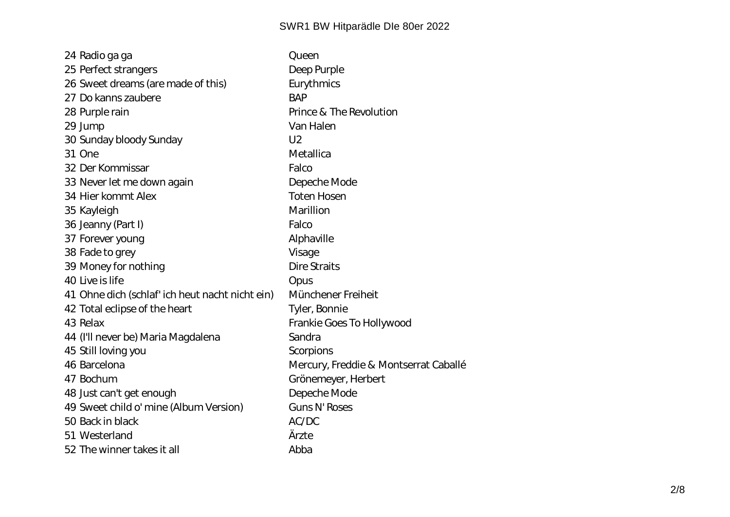| 24 Radio ga ga                                  | Queen                                 |
|-------------------------------------------------|---------------------------------------|
| 25 Perfect strangers                            | Deep Purple                           |
| 26 Sweet dreams (are made of this)              | Eurythmics                            |
| 27 Do kanns zaubere                             | <b>BAP</b>                            |
| 28 Purple rain                                  | Prince & The Revolution               |
| 29 Jump                                         | Van Halen                             |
| 30 Sunday bloody Sunday                         | U <sub>2</sub>                        |
| 31 One                                          | Metallica                             |
| 32 Der Kommissar                                | Falco                                 |
| 33 Never let me down again                      | Depeche Mode                          |
| 34 Hier kommt Alex                              | <b>Toten Hosen</b>                    |
| 35 Kayleigh                                     | Marillion                             |
| 36 Jeanny (Part I)                              | Falco                                 |
| 37 Forever young                                | Alphaville                            |
| 38 Fade to grey                                 | Visage                                |
| 39 Money for nothing                            | Dire Straits                          |
| 40 Live is life                                 | Opus                                  |
| 41 Ohne dich (schlaf' ich heut nacht nicht ein) | Münchener Freiheit                    |
| 42 Total eclipse of the heart                   | Tyler, Bonnie                         |
| 43 Relax                                        | Frankie Goes To Hollywood             |
| 44 (I'll never be) Maria Magdalena              | Sandra                                |
| 45 Still loving you                             | Scorpions                             |
| 46 Barcelona                                    | Mercury, Freddie & Montserrat Caballé |
| 47 Bochum                                       | Grönemeyer, Herbert                   |
| 48 Just can't get enough                        | Depeche Mode                          |
| 49 Sweet child o' mine (Album Version)          | Guns N' Roses                         |
| 50 Back in black                                | AC/DC                                 |
| 51 Westerland                                   | Ärzte                                 |
| 52 The winner takes it all                      | Abba                                  |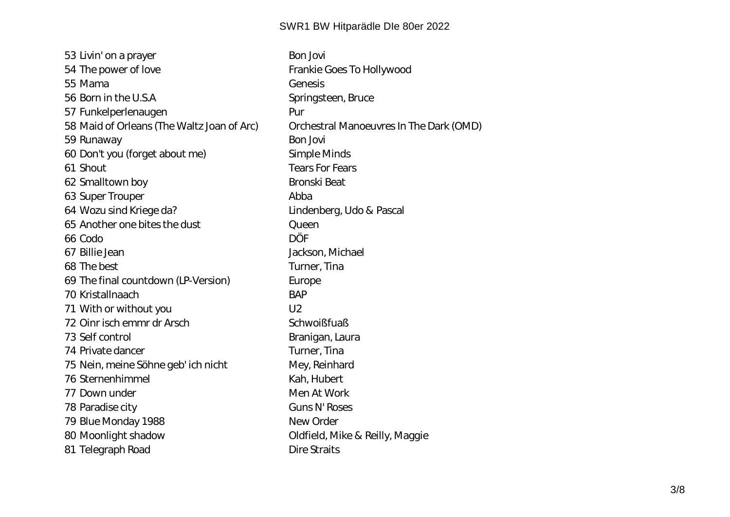53 Livin' on a prayer state of the Bon Jovi 54 The power of love entitled a series of the Frankie Goes To Hollywood 55 Mama Genesis 56 Born in the U.S.A Springsteen, Bruce 57 Funkelperlenaugen ein andere Pur 58 Maid of Orleans (The Waltz Joan of Arc) Orchestral Manoeuvres In The Dark (OMD) 59 Runaway **Bon Jovi** Bon Jovi 60 Don't you (forget about me) Simple Minds 61 Shout Tears For Fears 62 Smalltown boy **Bronski** Beat 63 Super Trouper **Abba** 64 Wozu sind Kriege da? Lindenberg, Udo & Pascal 65 Another one bites the dust Queen 66 Codo DÖF 67 Billie Jean Jackson, Michael 68 The best Turner, Tina 69 The final countdown (LP-Version) Europe 70 Kristallnaach BAP 71 With or without you can be made to the U2 72 Oinr isch emmr dr Arsch Schwoißfuaß 73 Self control by the Branigan, Laura 74 Private dancer Turner, Tina 75 Nein, meine Söhne geb' ich nicht Mey, Reinhard 76 Sternenhimmel Kah, Hubert 77 Down under Men At Work 78 Paradise city Guns N' Roses 79 Blue Monday 1988 New Order 80 Moonlight shadow Oldfield, Mike & Reilly, Maggie 81 Telegraph Road Dire Straits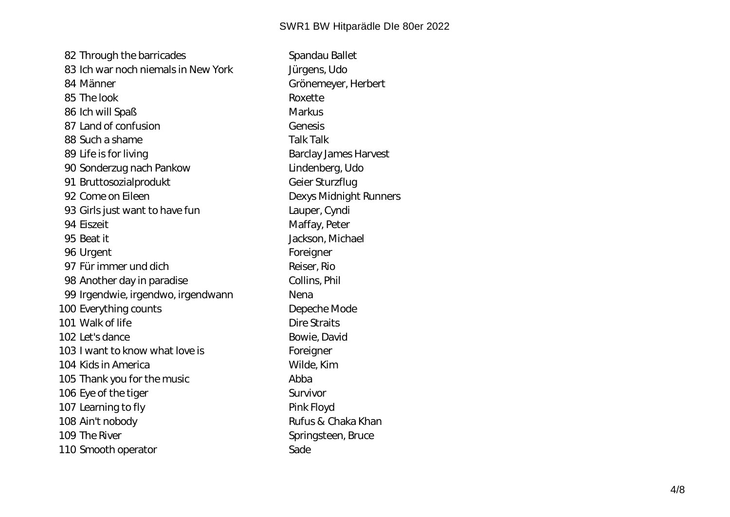82 Through the barricades Spandau Ballet 83 Ich war noch niemals in New York Jürgens, Udo 84 Männer Grönemeyer, Herbert 85 The look Roxette 86 Ich will Spaß Markus 87 Land of confusion Genesis 88 Such a shame Talk Talk 89 Life is for living and the state of the Barclay James Harvest 90 Sonderzug nach Pankow Lindenberg, Udo 91 Bruttosozialprodukt Geier Sturzflug 92 Come on Eileen **Dexys Midnight Runners** 93 Girls just want to have fun Lauper, Cyndi 94 Eiszeit Maffay, Peter 95 Beat it Jackson, Michael 96 Urgent Foreigner 97 Für immer und dich Reiser, Rio 98 Another day in paradise Collins, Phil 99 Irgendwie, irgendwo, irgendwann Nena 100 Everything counts **Example 20 Separate Separate Depeche Mode** 101 Walk of life **Dire Straits** 102 Let's dance Bowie, David 103 I want to know what love is Foreigner 104 Kids in America New York 104 Kim Wilde, Kim 105 Thank you for the music and the music Abba 106 Eye of the tiger state of the tiger survivor 107 Learning to fly **Pink Floyd** 108 Ain't nobody **Rufus & Chaka Khan** 109 The River Springsteen, Bruce 110 Smooth operator Sade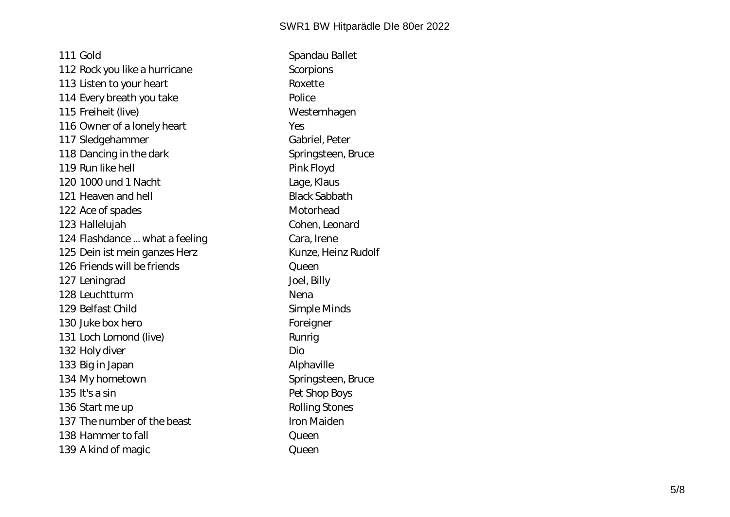111 Gold Spandau Ballet 112 Rock you like a hurricane Scorpions 113 Listen to your heart Roxette 114 Every breath you take Police 115 Freiheit (live) Westernhagen 116 Owner of a lonely heart Yes 117 Sledgehammer Gabriel, Peter 118 Dancing in the dark Springsteen, Bruce 119 Run like hell **Pink Floyd** 120 1000 und 1 Nacht Lage, Klaus 121 Heaven and hell **Black Sabbath** 122 Ace of spades Motorhead 123 Hallelujah Cohen, Leonard 124 Flashdance ... what a feeling entitled a cara, Irene 125 Dein ist mein ganzes Herz Kunze, Heinz Rudolf 126 Friends will be friends Company Curean 127 Leningrad **Joel, Billy** 128 Leuchtturm Nena 129 Belfast Child Simple Minds 130 Juke box hero **Foreigner** Foreigner 131 Loch Lomond (live) Runrig 132 Holy diver **Dio** 133 Big in Japan Alphaville 134 My hometown Springsteen, Bruce 135 It's a sin extended to the Pet Shop Boys 136 Start me up and a series of the Rolling Stones 137 The number of the beast Iron Maiden 138 Hammer to fall **Communist Communist Communist Communist Communist Communist Communist Communist Communist Communist Communist Communist Communist Communist Communist Communist Communist Communist Communist Communist Co** 139 A kind of magic queen Queen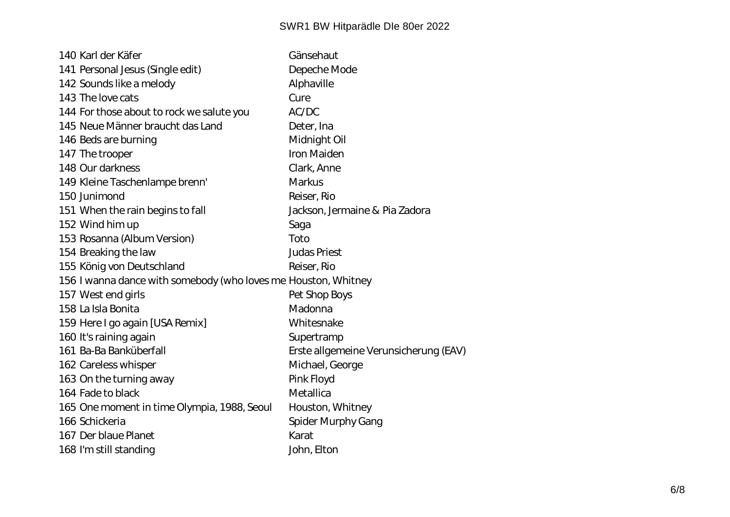| 140 Karl der Käfer                                              | Gänsehaut                             |  |
|-----------------------------------------------------------------|---------------------------------------|--|
| 141 Personal Jesus (Single edit)                                | Depeche Mode                          |  |
| 142 Sounds like a melody                                        | Alphaville                            |  |
| 143 The love cats                                               | Cure                                  |  |
| 144 For those about to rock we salute you                       | AC/DC                                 |  |
| 145 Neue Männer braucht das Land                                | Deter, Ina                            |  |
| 146 Beds are burning                                            | Midnight Oil                          |  |
| 147 The trooper                                                 | Iron Maiden                           |  |
| 148 Our darkness                                                | Clark, Anne                           |  |
| 149 Kleine Taschenlampe brenn'                                  | Markus                                |  |
| 150 Junimond                                                    | Reiser, Rio                           |  |
| 151 When the rain begins to fall                                | Jackson, Jermaine & Pia Zadora        |  |
| 152 Wind him up                                                 | Saga                                  |  |
| 153 Rosanna (Album Version)                                     | Toto                                  |  |
| 154 Breaking the law                                            | Judas Priest                          |  |
| 155 König von Deutschland                                       | Reiser, Rio                           |  |
| 156 I wanna dance with somebody (who loves me) Houston, Whitney |                                       |  |
| 157 West end girls                                              | Pet Shop Boys                         |  |
| 158 La Isla Bonita                                              | Madonna                               |  |
| 159 Here I go again [USA Remix]                                 | Whitesnake                            |  |
| 160 It's raining again                                          | Supertramp                            |  |
| 161 Ba-Ba Banküberfall                                          | Erste allgemeine Verunsicherung (EAV) |  |
| 162 Careless whisper                                            | Michael, George                       |  |
| 163 On the turning away                                         | Pink Floyd                            |  |
| 164 Fade to black                                               | Metallica                             |  |
| 165 One moment in time Olympia, 1988, Seoul                     | Houston, Whitney                      |  |
| 166 Schickeria                                                  | Spider Murphy Gang                    |  |
| 167 Der blaue Planet                                            | Karat                                 |  |
| 168 I'm still standing                                          | John, Elton                           |  |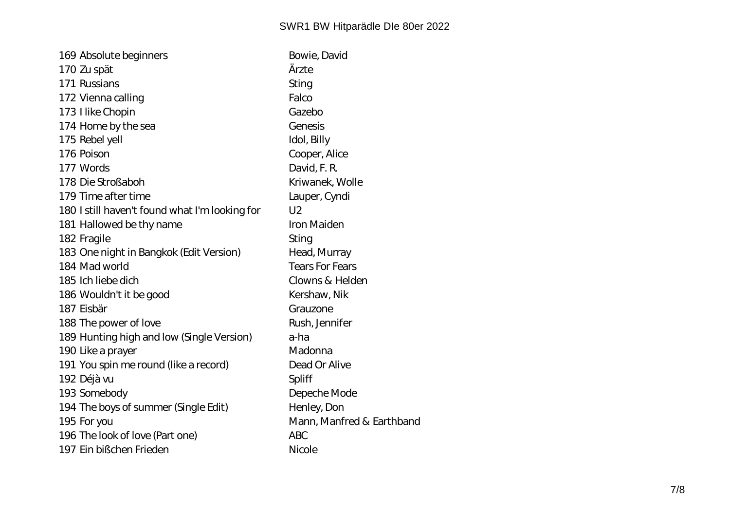| 169 Absolute beginners                         | Bowie, David              |
|------------------------------------------------|---------------------------|
| 170 Zu spät                                    | Ärzte                     |
| 171 Russians                                   | Sting                     |
| 172 Vienna calling                             | Falco                     |
| 173 Hike Chopin                                | Gazebo                    |
| 174 Home by the sea                            | Genesis                   |
| 175 Rebel yell                                 | Idol, Billy               |
| 176 Poison                                     | Cooper, Alice             |
| 177 Words                                      | David, F. R.              |
| 178 Die Stroßaboh                              | Kriwanek, Wolle           |
| 179 Time after time                            | Lauper, Cyndi             |
| 180 I still haven't found what I'm looking for | U <sub>2</sub>            |
| 181 Hallowed be thy name                       | Iron Maiden               |
| 182 Fragile                                    | Sting                     |
| 183 One night in Bangkok (Edit Version)        | Head, Murray              |
| 184 Mad world                                  | Tears For Fears           |
| 185 Ich liebe dich                             | Clowns & Helden           |
| 186 Wouldn't it be good                        | Kershaw, Nik              |
| 187 Eisbär                                     | Grauzone                  |
| 188 The power of love                          | Rush, Jennifer            |
| 189 Hunting high and low (Single Version)      | a-ha                      |
| 190 Like a prayer                              | Madonna                   |
| 191 You spin me round (like a record)          | Dead Or Alive             |
| 192 Déjà vu                                    | Spliff                    |
| 193 Somebody                                   | Depeche Mode              |
| 194 The boys of summer (Single Edit)           | Henley, Don               |
| 195 For you                                    | Mann, Manfred & Earthband |
| 196 The look of love (Part one)                | <b>ABC</b>                |
| 197 Ein bißchen Frieden                        | Nicole                    |